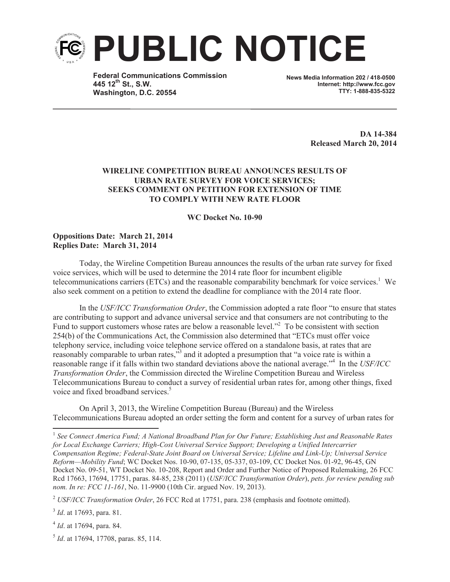

**Federal Communications Commission 445 12th St., S.W. Washington, D.C. 20554**

**News Media Information 202 / 418-0500 Internet: http://www.fcc.gov TTY: 1-888-835-5322**

> **DA 14-384 Released March 20, 2014**

## **WIRELINE COMPETITION BUREAU ANNOUNCES RESULTS OF URBAN RATE SURVEY FOR VOICE SERVICES; SEEKS COMMENT ON PETITION FOR EXTENSION OF TIME TO COMPLY WITH NEW RATE FLOOR**

## **WC Docket No. 10-90**

## **Oppositions Date: March 21, 2014 Replies Date: March 31, 2014**

Today, the Wireline Competition Bureau announces the results of the urban rate survey for fixed voice services, which will be used to determine the 2014 rate floor for incumbent eligible telecommunications carriers (ETCs) and the reasonable comparability benchmark for voice services.<sup>1</sup> We also seek comment on a petition to extend the deadline for compliance with the 2014 rate floor.

In the *USF/ICC Transformation Order*, the Commission adopted a rate floor "to ensure that states are contributing to support and advance universal service and that consumers are not contributing to the Fund to support customers whose rates are below a reasonable level."<sup>2</sup> To be consistent with section 254(b) of the Communications Act, the Commission also determined that "ETCs must offer voice telephony service, including voice telephone service offered on a standalone basis, at rates that are reasonably comparable to urban rates,<sup>33</sup> and it adopted a presumption that "a voice rate is within a reasonable range if it falls within two standard deviations above the national average."<sup>4</sup> In the *USF/ICC Transformation Order*, the Commission directed the Wireline Competition Bureau and Wireless Telecommunications Bureau to conduct a survey of residential urban rates for, among other things, fixed voice and fixed broadband services.<sup>5</sup>

On April 3, 2013, the Wireline Competition Bureau (Bureau) and the Wireless Telecommunications Bureau adopted an order setting the form and content for a survey of urban rates for

<sup>1</sup> See Connect America Fund; A National Broadband Plan for Our Future; Establishing Just and Reasonable Rates *for Local Exchange Carriers; High-Cost Universal Service Support; Developing a Unified Intercarrier Compensation Regime; Federal-State Joint Board on Universal Service; Lifeline and Link-Up; Universal Service Reform—Mobility Fund*; WC Docket Nos. 10-90, 07-135, 05-337, 03-109, CC Docket Nos. 01-92, 96-45, GN Docket No. 09-51, WT Docket No. 10-208, Report and Order and Further Notice of Proposed Rulemaking, 26 FCC Rcd 17663, 17694, 17751, paras. 84-85, 238 (2011) (*USF/ICC Transformation Order*), *pets. for review pending sub nom. In re: FCC 11-161*, No. 11-9900 (10th Cir. argued Nov. 19, 2013).

<sup>2</sup> *USF/ICC Transformation Order*, 26 FCC Rcd at 17751, para. 238 (emphasis and footnote omitted).

3 *Id*. at 17693, para. 81.

4 *Id*. at 17694, para. 84.

5 *Id*. at 17694, 17708, paras. 85, 114.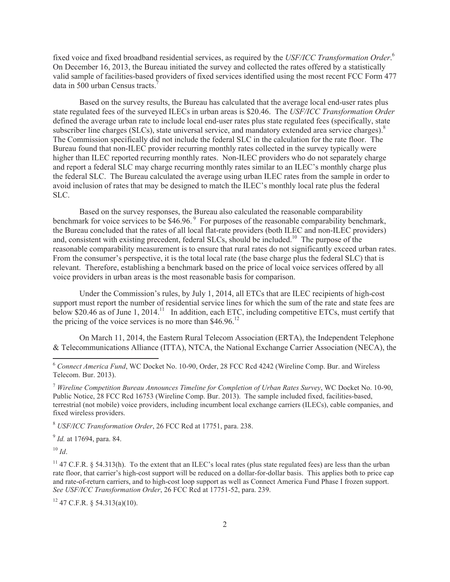fixed voice and fixed broadband residential services, as required by the *USF/ICC Transformation Order*. 6 On December 16, 2013, the Bureau initiated the survey and collected the rates offered by a statistically valid sample of facilities-based providers of fixed services identified using the most recent FCC Form 477 data in 500 urban Census tracts.<sup>7</sup>

Based on the survey results, the Bureau has calculated that the average local end-user rates plus state regulated fees of the surveyed ILECs in urban areas is \$20.46. The *USF/ICC Transformation Order* defined the average urban rate to include local end-user rates plus state regulated fees (specifically, state subscriber line charges (SLCs), state universal service, and mandatory extended area service charges).<sup>8</sup> The Commission specifically did not include the federal SLC in the calculation for the rate floor. The Bureau found that non-ILEC provider recurring monthly rates collected in the survey typically were higher than ILEC reported recurring monthly rates. Non-ILEC providers who do not separately charge and report a federal SLC may charge recurring monthly rates similar to an ILEC's monthly charge plus the federal SLC. The Bureau calculated the average using urban ILEC rates from the sample in order to avoid inclusion of rates that may be designed to match the ILEC's monthly local rate plus the federal SLC.

Based on the survey responses, the Bureau also calculated the reasonable comparability benchmark for voice services to be  $$46.96$ . For purposes of the reasonable comparability benchmark, the Bureau concluded that the rates of all local flat-rate providers (both ILEC and non-ILEC providers) and, consistent with existing precedent, federal SLCs, should be included.<sup>10</sup> The purpose of the reasonable comparability measurement is to ensure that rural rates do not significantly exceed urban rates. From the consumer's perspective, it is the total local rate (the base charge plus the federal SLC) that is relevant. Therefore, establishing a benchmark based on the price of local voice services offered by all voice providers in urban areas is the most reasonable basis for comparison.

Under the Commission's rules, by July 1, 2014, all ETCs that are ILEC recipients of high-cost support must report the number of residential service lines for which the sum of the rate and state fees are below \$20.46 as of June 1, 2014.<sup>11</sup> In addition, each ETC, including competitive ETCs, must certify that the pricing of the voice services is no more than  $$46.96$ <sup>12</sup>

On March 11, 2014, the Eastern Rural Telecom Association (ERTA), the Independent Telephone & Telecommunications Alliance (ITTA), NTCA, the National Exchange Carrier Association (NECA), the

9 *Id.* at 17694, para. 84.

 $10 \,$ *Id.* 

 $11$  47 C.F.R. § 54.313(h). To the extent that an ILEC's local rates (plus state regulated fees) are less than the urban rate floor, that carrier's high-cost support will be reduced on a dollar-for-dollar basis. This applies both to price cap and rate-of-return carriers, and to high-cost loop support as well as Connect America Fund Phase I frozen support. *See USF/ICC Transformation Order*, 26 FCC Rcd at 17751-52, para. 239.

 $12$  47 C.F.R. § 54.313(a)(10).

<sup>6</sup> *Connect America Fund*, WC Docket No. 10-90, Order, 28 FCC Rcd 4242 (Wireline Comp. Bur. and Wireless Telecom. Bur. 2013).

<sup>7</sup> *Wireline Competition Bureau Announces Timeline for Completion of Urban Rates Survey*, WC Docket No. 10-90, Public Notice, 28 FCC Rcd 16753 (Wireline Comp. Bur. 2013). The sample included fixed, facilities-based, terrestrial (not mobile) voice providers, including incumbent local exchange carriers (ILECs), cable companies, and fixed wireless providers.

<sup>8</sup> *USF/ICC Transformation Order*, 26 FCC Rcd at 17751, para. 238.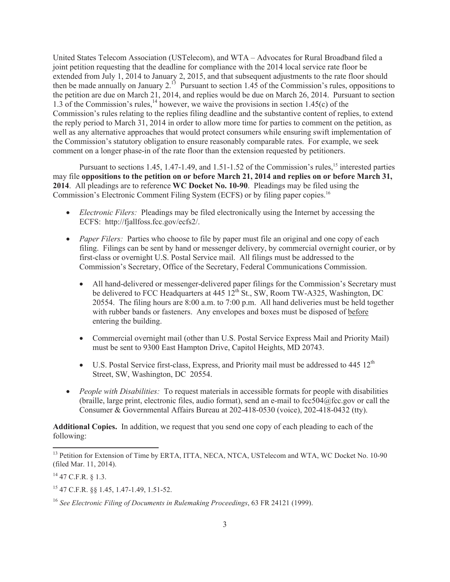United States Telecom Association (USTelecom), and WTA – Advocates for Rural Broadband filed a joint petition requesting that the deadline for compliance with the 2014 local service rate floor be extended from July 1, 2014 to January 2, 2015, and that subsequent adjustments to the rate floor should then be made annually on January  $2^{13}$  Pursuant to section 1.45 of the Commission's rules, oppositions to the petition are due on March 21, 2014, and replies would be due on March 26, 2014. Pursuant to section 1.3 of the Commission's rules,<sup>14</sup> however, we waive the provisions in section 1.45(c) of the Commission's rules relating to the replies filing deadline and the substantive content of replies, to extend the reply period to March 31, 2014 in order to allow more time for parties to comment on the petition, as well as any alternative approaches that would protect consumers while ensuring swift implementation of the Commission's statutory obligation to ensure reasonably comparable rates. For example, we seek comment on a longer phase-in of the rate floor than the extension requested by petitioners.

Pursuant to sections 1.45, 1.47-1.49, and 1.51-1.52 of the Commission's rules,<sup>15</sup> interested parties may file **oppositions to the petition on or before March 21, 2014 and replies on or before March 31, 2014**. All pleadings are to reference **WC Docket No. 10-90**. Pleadings may be filed using the Commission's Electronic Comment Filing System (ECFS) or by filing paper copies.<sup>16</sup>

- · *Electronic Filers:* Pleadings may be filed electronically using the Internet by accessing the ECFS: http://fjallfoss.fcc.gov/ecfs2/.
- *Paper Filers:* Parties who choose to file by paper must file an original and one copy of each filing. Filings can be sent by hand or messenger delivery, by commercial overnight courier, or by first-class or overnight U.S. Postal Service mail. All filings must be addressed to the Commission's Secretary, Office of the Secretary, Federal Communications Commission.
	- All hand-delivered or messenger-delivered paper filings for the Commission's Secretary must be delivered to FCC Headquarters at  $445 \frac{12^{th}}{S}$ t., SW, Room TW-A325, Washington, DC 20554. The filing hours are 8:00 a.m. to 7:00 p.m. All hand deliveries must be held together with rubber bands or fasteners. Any envelopes and boxes must be disposed of before entering the building.
	- Commercial overnight mail (other than U.S. Postal Service Express Mail and Priority Mail) must be sent to 9300 East Hampton Drive, Capitol Heights, MD 20743.
	- U.S. Postal Service first-class, Express, and Priority mail must be addressed to  $445 \frac{12^{th}}{125}$ Street, SW, Washington, DC 20554.
- *People with Disabilities:* To request materials in accessible formats for people with disabilities (braille, large print, electronic files, audio format), send an e-mail to  $fcc504@$ fcc.gov or call the Consumer & Governmental Affairs Bureau at 202-418-0530 (voice), 202-418-0432 (tty).

**Additional Copies.** In addition, we request that you send one copy of each pleading to each of the following:

<sup>&</sup>lt;sup>13</sup> Petition for Extension of Time by ERTA, ITTA, NECA, NTCA, USTelecom and WTA, WC Docket No. 10-90 (filed Mar. 11, 2014).

 $14$  47 C.F.R. § 1.3.

<sup>15</sup> 47 C.F.R. §§ 1.45, 1.47-1.49, 1.51-52.

<sup>16</sup> *See Electronic Filing of Documents in Rulemaking Proceedings*, 63 FR 24121 (1999).